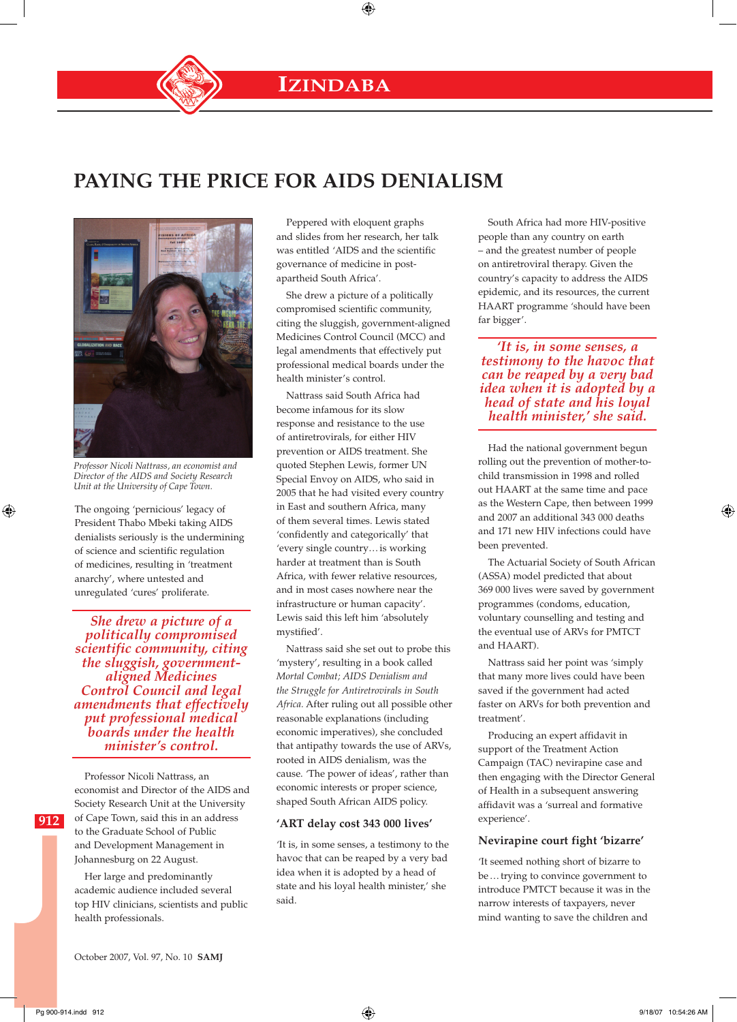**IZINDABA**

⊕

## **PAYING THE PRICE FOR AIDS DENIALISM**



*Professor Nicoli Nattrass, an economist and Director of the AIDS and Society Research Unit at the University of Cape Town.*

The ongoing 'pernicious' legacy of President Thabo Mbeki taking AIDS denialists seriously is the undermining of science and scientific regulation of medicines, resulting in 'treatment anarchy', where untested and unregulated 'cures' proliferate.

*She drew a picture of a politically compromised scientific community, citing the sluggish, governmentaligned Medicines Control Council and legal amendments that effectively put professional medical boards under the health minister's control.*

Professor Nicoli Nattrass, an economist and Director of the AIDS and Society Research Unit at the University of Cape Town, said this in an address to the Graduate School of Public and Development Management in Johannesburg on 22 August.

Her large and predominantly academic audience included several top HIV clinicians, scientists and public health professionals.

Peppered with eloquent graphs and slides from her research, her talk was entitled 'AIDS and the scientific governance of medicine in postapartheid South Africa'.

She drew a picture of a politically compromised scientific community, citing the sluggish, government-aligned Medicines Control Council (MCC) and legal amendments that effectively put professional medical boards under the health minister's control.

Nattrass said South Africa had become infamous for its slow response and resistance to the use of antiretrovirals, for either HIV prevention or AIDS treatment. She quoted Stephen Lewis, former UN Special Envoy on AIDS, who said in 2005 that he had visited every country in East and southern Africa, many of them several times. Lewis stated 'confidently and categorically' that 'every single country…is working harder at treatment than is South Africa, with fewer relative resources, and in most cases nowhere near the infrastructure or human capacity'. Lewis said this left him 'absolutely mystified'.

Nattrass said she set out to probe this 'mystery', resulting in a book called *Mortal Combat; AIDS Denialism and the Struggle for Antiretrovirals in South Africa.* After ruling out all possible other reasonable explanations (including economic imperatives), she concluded that antipathy towards the use of ARVs, rooted in AIDS denialism, was the cause. 'The power of ideas', rather than economic interests or proper science, shaped South African AIDS policy.

## **'ART delay cost 343 000 lives'**

'It is, in some senses, a testimony to the havoc that can be reaped by a very bad idea when it is adopted by a head of state and his loyal health minister,' she said.

South Africa had more HIV-positive people than any country on earth – and the greatest number of people on antiretroviral therapy. Given the country's capacity to address the AIDS epidemic, and its resources, the current HAART programme 'should have been far bigger'.

*'It is, in some senses, a testimony to the havoc that can be reaped by a very bad idea when it is adopted by a head of state and his loyal health minister,' she said.*

Had the national government begun rolling out the prevention of mother-tochild transmission in 1998 and rolled out HAART at the same time and pace as the Western Cape, then between 1999 and 2007 an additional 343 000 deaths and 171 new HIV infections could have been prevented.

The Actuarial Society of South African (ASSA) model predicted that about 369 000 lives were saved by government programmes (condoms, education, voluntary counselling and testing and the eventual use of ARVs for PMTCT and HAART).

Nattrass said her point was 'simply that many more lives could have been saved if the government had acted faster on ARVs for both prevention and treatment'.

Producing an expert affidavit in support of the Treatment Action Campaign (TAC) nevirapine case and then engaging with the Director General of Health in a subsequent answering affidavit was a 'surreal and formative experience'.

## **Nevirapine court fight 'bizarre'**

'It seemed nothing short of bizarre to be…trying to convince government to introduce PMTCT because it was in the narrow interests of taxpayers, never mind wanting to save the children and

⊕